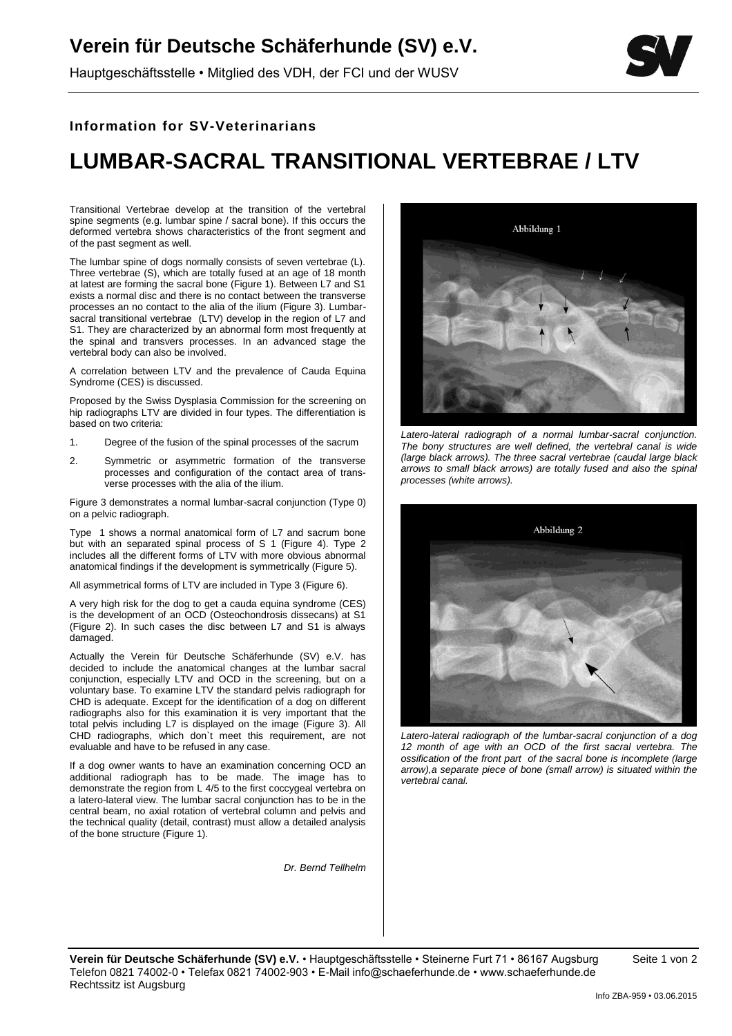## **Verein für Deutsche Schäferhunde (SV) e.V.**

Hauptgeschäftsstelle • Mitglied des VDH, der FCI und der WUSV



## **Information for SV-Veterinarians**

## **LUMBAR-SACRAL TRANSITIONAL VERTEBRAE / LTV**

Transitional Vertebrae develop at the transition of the vertebral spine segments (e.g. lumbar spine / sacral bone). If this occurs the deformed vertebra shows characteristics of the front segment and of the past segment as well.

The lumbar spine of dogs normally consists of seven vertebrae (L). Three vertebrae (S), which are totally fused at an age of 18 month at latest are forming the sacral bone (Figure 1). Between L7 and S1 exists a normal disc and there is no contact between the transverse processes an no contact to the alia of the ilium (Figure 3). Lumbarsacral transitional vertebrae (LTV) develop in the region of L7 and S1. They are characterized by an abnormal form most frequently at the spinal and transvers processes. In an advanced stage the vertebral body can also be involved.

A correlation between LTV and the prevalence of Cauda Equina Syndrome (CES) is discussed.

Proposed by the Swiss Dysplasia Commission for the screening on hip radiographs LTV are divided in four types. The differentiation is based on two criteria:

- 1. Degree of the fusion of the spinal processes of the sacrum
- 2. Symmetric or asymmetric formation of the transverse processes and configuration of the contact area of transverse processes with the alia of the ilium.

Figure 3 demonstrates a normal lumbar-sacral conjunction (Type 0) on a pelvic radiograph.

Type 1 shows a normal anatomical form of L7 and sacrum bone but with an separated spinal process of S 1 (Figure 4). Type 2 includes all the different forms of LTV with more obvious abnormal anatomical findings if the development is symmetrically (Figure 5).

All asymmetrical forms of LTV are included in Type 3 (Figure 6).

A very high risk for the dog to get a cauda equina syndrome (CES) is the development of an OCD (Osteochondrosis dissecans) at S1 (Figure 2). In such cases the disc between L7 and S1 is always damaged.

Actually the Verein für Deutsche Schäferhunde (SV) e.V. has decided to include the anatomical changes at the lumbar sacral conjunction, especially LTV and OCD in the screening, but on a voluntary base. To examine LTV the standard pelvis radiograph for CHD is adequate. Except for the identification of a dog on different radiographs also for this examination it is very important that the total pelvis including L7 is displayed on the image (Figure 3). All CHD radiographs, which don`t meet this requirement, are not evaluable and have to be refused in any case.

If a dog owner wants to have an examination concerning OCD an additional radiograph has to be made. The image has to demonstrate the region from L 4/5 to the first coccygeal vertebra on a latero-lateral view. The lumbar sacral conjunction has to be in the central beam, no axial rotation of vertebral column and pelvis and the technical quality (detail, contrast) must allow a detailed analysis of the bone structure (Figure 1).

*Dr. Bernd Tellhelm*



*Latero-lateral radiograph of a normal lumbar-sacral conjunction. The bony structures are well defined, the vertebral canal is wide (large black arrows). The three sacral vertebrae (caudal large black arrows to small black arrows) are totally fused and also the spinal processes (white arrows).*



*Latero-lateral radiograph of the lumbar-sacral conjunction of a dog 12 month of age with an OCD of the first sacral vertebra. The ossification of the front part of the sacral bone is incomplete (large arrow),a separate piece of bone (small arrow) is situated within the vertebral canal.*